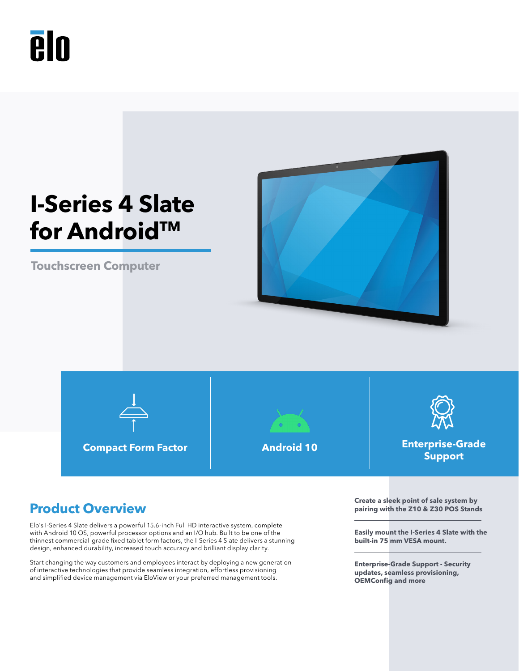



**Touchscreen Computer**



**Compact Form Factor Android 10 Enterprise-Grade** 





**Support**

Elo's I-Series 4 Slate delivers a powerful 15.6-inch Full HD interactive system, complete with Android 10 OS, powerful processor options and an I/O hub. Built to be one of the thinnest commercial-grade fixed tablet form factors, the I-Series 4 Slate delivers a stunning design, enhanced durability, increased touch accuracy and brilliant display clarity.

Start changing the way customers and employees interact by deploying a new generation of interactive technologies that provide seamless integration, effortless provisioning and simplified device management via EloView or your preferred management tools.

**Product Overview Create a sleek point of sale system by Create a sleek point of sale system by Product** Overview **pairing with the Z10 & Z30 POS Stands**

> **Easily mount the I-Series 4 Slate with the built-in 75 mm VESA mount.**

**Enterprise-Grade Support - Security updates, seamless provisioning, OEMConfig and more**